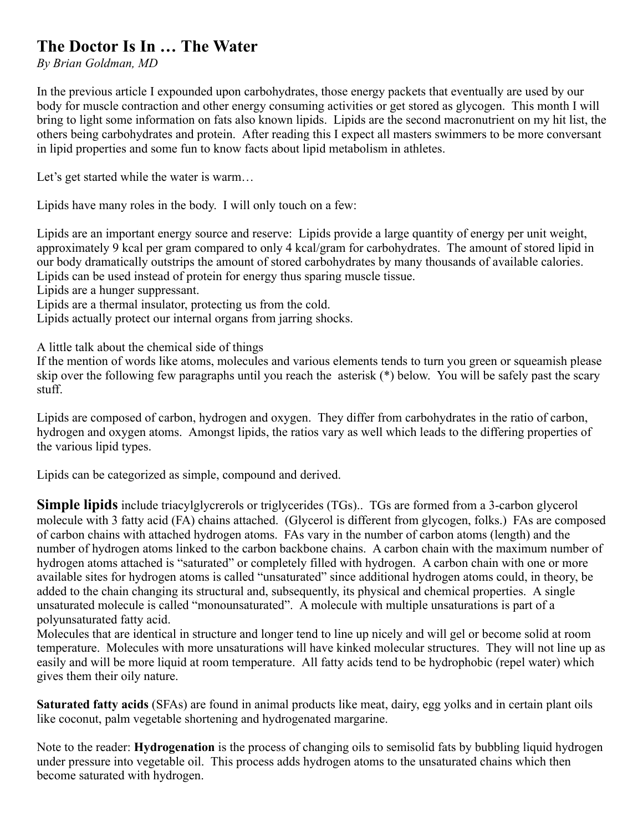## **The Doctor Is In … The Water**

*By Brian Goldman, MD*

In the previous article I expounded upon carbohydrates, those energy packets that eventually are used by our body for muscle contraction and other energy consuming activities or get stored as glycogen. This month I will bring to light some information on fats also known lipids. Lipids are the second macronutrient on my hit list, the others being carbohydrates and protein. After reading this I expect all masters swimmers to be more conversant in lipid properties and some fun to know facts about lipid metabolism in athletes.

Let's get started while the water is warm...

Lipids have many roles in the body. I will only touch on a few:

Lipids are an important energy source and reserve: Lipids provide a large quantity of energy per unit weight, approximately 9 kcal per gram compared to only 4 kcal/gram for carbohydrates. The amount of stored lipid in our body dramatically outstrips the amount of stored carbohydrates by many thousands of available calories. Lipids can be used instead of protein for energy thus sparing muscle tissue.

Lipids are a hunger suppressant.

Lipids are a thermal insulator, protecting us from the cold.

Lipids actually protect our internal organs from jarring shocks.

A little talk about the chemical side of things

If the mention of words like atoms, molecules and various elements tends to turn you green or squeamish please skip over the following few paragraphs until you reach the asterisk (\*) below. You will be safely past the scary stuff.

Lipids are composed of carbon, hydrogen and oxygen. They differ from carbohydrates in the ratio of carbon, hydrogen and oxygen atoms. Amongst lipids, the ratios vary as well which leads to the differing properties of the various lipid types.

Lipids can be categorized as simple, compound and derived.

**Simple lipids** include triacylglycrerols or triglycerides (TGs).. TGs are formed from a 3-carbon glycerol molecule with 3 fatty acid (FA) chains attached. (Glycerol is different from glycogen, folks.) FAs are composed of carbon chains with attached hydrogen atoms. FAs vary in the number of carbon atoms (length) and the number of hydrogen atoms linked to the carbon backbone chains. A carbon chain with the maximum number of hydrogen atoms attached is "saturated" or completely filled with hydrogen. A carbon chain with one or more available sites for hydrogen atoms is called "unsaturated" since additional hydrogen atoms could, in theory, be added to the chain changing its structural and, subsequently, its physical and chemical properties. A single unsaturated molecule is called "monounsaturated". A molecule with multiple unsaturations is part of a polyunsaturated fatty acid.

Molecules that are identical in structure and longer tend to line up nicely and will gel or become solid at room temperature. Molecules with more unsaturations will have kinked molecular structures. They will not line up as easily and will be more liquid at room temperature. All fatty acids tend to be hydrophobic (repel water) which gives them their oily nature.

**Saturated fatty acids** (SFAs) are found in animal products like meat, dairy, egg yolks and in certain plant oils like coconut, palm vegetable shortening and hydrogenated margarine.

Note to the reader: **Hydrogenation** is the process of changing oils to semisolid fats by bubbling liquid hydrogen under pressure into vegetable oil. This process adds hydrogen atoms to the unsaturated chains which then become saturated with hydrogen.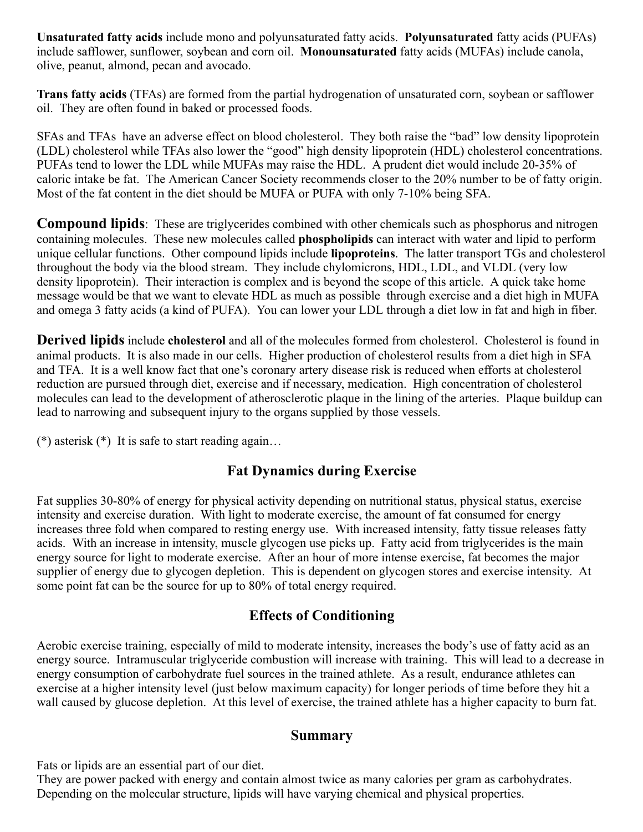**Unsaturated fatty acids** include mono and polyunsaturated fatty acids. **Polyunsaturated** fatty acids (PUFAs) include safflower, sunflower, soybean and corn oil. **Monounsaturated** fatty acids (MUFAs) include canola, olive, peanut, almond, pecan and avocado.

**Trans fatty acids** (TFAs) are formed from the partial hydrogenation of unsaturated corn, soybean or safflower oil. They are often found in baked or processed foods.

SFAs and TFAs have an adverse effect on blood cholesterol. They both raise the "bad" low density lipoprotein (LDL) cholesterol while TFAs also lower the "good" high density lipoprotein (HDL) cholesterol concentrations. PUFAs tend to lower the LDL while MUFAs may raise the HDL. A prudent diet would include 20-35% of caloric intake be fat. The American Cancer Society recommends closer to the 20% number to be of fatty origin. Most of the fat content in the diet should be MUFA or PUFA with only 7-10% being SFA.

**Compound lipids**: These are triglycerides combined with other chemicals such as phosphorus and nitrogen containing molecules. These new molecules called **phospholipids** can interact with water and lipid to perform unique cellular functions. Other compound lipids include **lipoproteins**. The latter transport TGs and cholesterol throughout the body via the blood stream. They include chylomicrons, HDL, LDL, and VLDL (very low density lipoprotein). Their interaction is complex and is beyond the scope of this article. A quick take home message would be that we want to elevate HDL as much as possible through exercise and a diet high in MUFA and omega 3 fatty acids (a kind of PUFA). You can lower your LDL through a diet low in fat and high in fiber.

**Derived lipids** include **cholesterol** and all of the molecules formed from cholesterol. Cholesterol is found in animal products. It is also made in our cells. Higher production of cholesterol results from a diet high in SFA and TFA. It is a well know fact that one's coronary artery disease risk is reduced when efforts at cholesterol reduction are pursued through diet, exercise and if necessary, medication. High concentration of cholesterol molecules can lead to the development of atherosclerotic plaque in the lining of the arteries. Plaque buildup can lead to narrowing and subsequent injury to the organs supplied by those vessels.

(\*) asterisk  $(*)$  It is safe to start reading again...

## **Fat Dynamics during Exercise**

Fat supplies 30-80% of energy for physical activity depending on nutritional status, physical status, exercise intensity and exercise duration. With light to moderate exercise, the amount of fat consumed for energy increases three fold when compared to resting energy use. With increased intensity, fatty tissue releases fatty acids. With an increase in intensity, muscle glycogen use picks up. Fatty acid from triglycerides is the main energy source for light to moderate exercise. After an hour of more intense exercise, fat becomes the major supplier of energy due to glycogen depletion. This is dependent on glycogen stores and exercise intensity. At some point fat can be the source for up to 80% of total energy required.

## **Effects of Conditioning**

Aerobic exercise training, especially of mild to moderate intensity, increases the body's use of fatty acid as an energy source. Intramuscular triglyceride combustion will increase with training. This will lead to a decrease in energy consumption of carbohydrate fuel sources in the trained athlete. As a result, endurance athletes can exercise at a higher intensity level (just below maximum capacity) for longer periods of time before they hit a wall caused by glucose depletion. At this level of exercise, the trained athlete has a higher capacity to burn fat.

## **Summary**

Fats or lipids are an essential part of our diet.

They are power packed with energy and contain almost twice as many calories per gram as carbohydrates. Depending on the molecular structure, lipids will have varying chemical and physical properties.